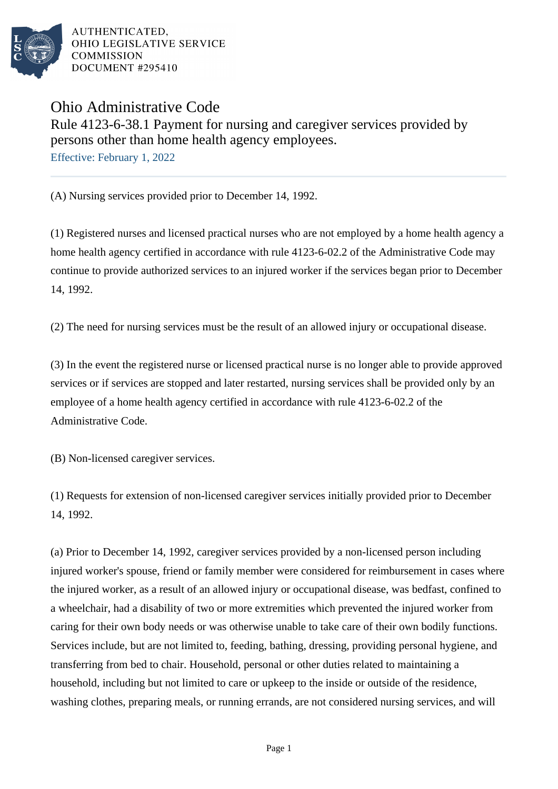

AUTHENTICATED. OHIO LEGISLATIVE SERVICE **COMMISSION** DOCUMENT #295410

Ohio Administrative Code

Rule 4123-6-38.1 Payment for nursing and caregiver services provided by persons other than home health agency employees.

Effective: February 1, 2022

(A) Nursing services provided prior to December 14, 1992.

(1) Registered nurses and licensed practical nurses who are not employed by a home health agency a home health agency certified in accordance with rule 4123-6-02.2 of the Administrative Code may continue to provide authorized services to an injured worker if the services began prior to December 14, 1992.

(2) The need for nursing services must be the result of an allowed injury or occupational disease.

(3) In the event the registered nurse or licensed practical nurse is no longer able to provide approved services or if services are stopped and later restarted, nursing services shall be provided only by an employee of a home health agency certified in accordance with rule 4123-6-02.2 of the Administrative Code.

(B) Non-licensed caregiver services.

(1) Requests for extension of non-licensed caregiver services initially provided prior to December 14, 1992.

(a) Prior to December 14, 1992, caregiver services provided by a non-licensed person including injured worker's spouse, friend or family member were considered for reimbursement in cases where the injured worker, as a result of an allowed injury or occupational disease, was bedfast, confined to a wheelchair, had a disability of two or more extremities which prevented the injured worker from caring for their own body needs or was otherwise unable to take care of their own bodily functions. Services include, but are not limited to, feeding, bathing, dressing, providing personal hygiene, and transferring from bed to chair. Household, personal or other duties related to maintaining a household, including but not limited to care or upkeep to the inside or outside of the residence, washing clothes, preparing meals, or running errands, are not considered nursing services, and will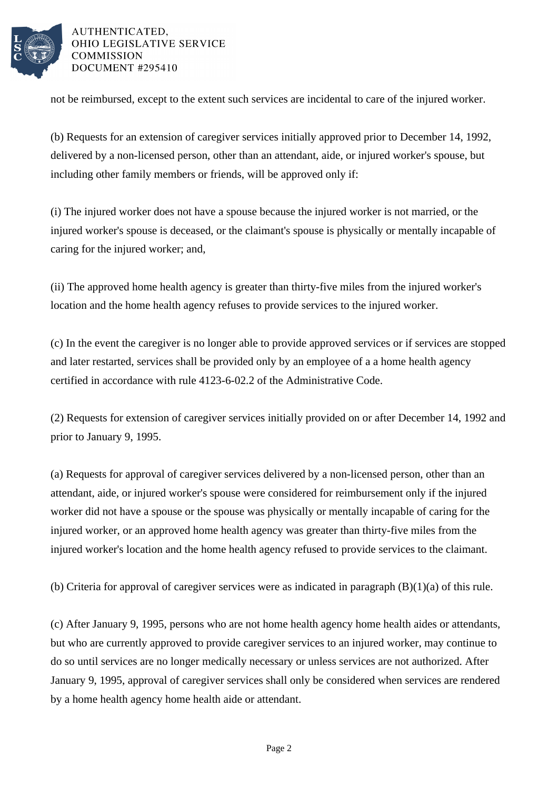

AUTHENTICATED. OHIO LEGISLATIVE SERVICE COMMISSION DOCUMENT #295410

not be reimbursed, except to the extent such services are incidental to care of the injured worker.

(b) Requests for an extension of caregiver services initially approved prior to December 14, 1992, delivered by a non-licensed person, other than an attendant, aide, or injured worker's spouse, but including other family members or friends, will be approved only if:

(i) The injured worker does not have a spouse because the injured worker is not married, or the injured worker's spouse is deceased, or the claimant's spouse is physically or mentally incapable of caring for the injured worker; and,

(ii) The approved home health agency is greater than thirty-five miles from the injured worker's location and the home health agency refuses to provide services to the injured worker.

(c) In the event the caregiver is no longer able to provide approved services or if services are stopped and later restarted, services shall be provided only by an employee of a a home health agency certified in accordance with rule 4123-6-02.2 of the Administrative Code.

(2) Requests for extension of caregiver services initially provided on or after December 14, 1992 and prior to January 9, 1995.

(a) Requests for approval of caregiver services delivered by a non-licensed person, other than an attendant, aide, or injured worker's spouse were considered for reimbursement only if the injured worker did not have a spouse or the spouse was physically or mentally incapable of caring for the injured worker, or an approved home health agency was greater than thirty-five miles from the injured worker's location and the home health agency refused to provide services to the claimant.

(b) Criteria for approval of caregiver services were as indicated in paragraph (B)(1)(a) of this rule.

(c) After January 9, 1995, persons who are not home health agency home health aides or attendants, but who are currently approved to provide caregiver services to an injured worker, may continue to do so until services are no longer medically necessary or unless services are not authorized. After January 9, 1995, approval of caregiver services shall only be considered when services are rendered by a home health agency home health aide or attendant.